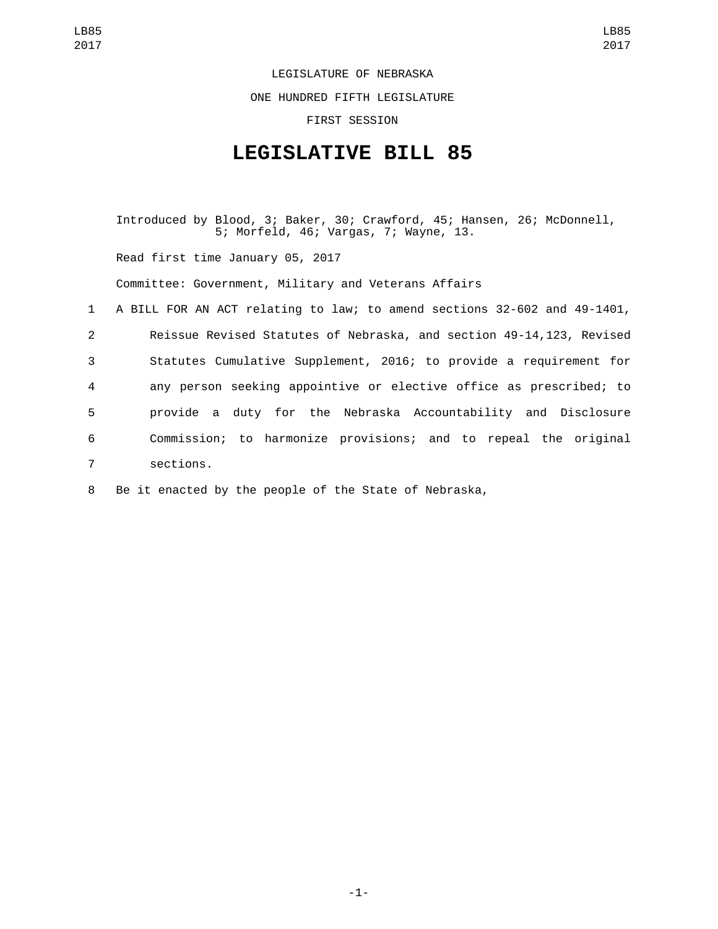## LEGISLATURE OF NEBRASKA

ONE HUNDRED FIFTH LEGISLATURE

FIRST SESSION

## **LEGISLATIVE BILL 85**

Introduced by Blood, 3; Baker, 30; Crawford, 45; Hansen, 26; McDonnell, 5; Morfeld, 46; Vargas, 7; Wayne, 13. Read first time January 05, 2017 Committee: Government, Military and Veterans Affairs 1 A BILL FOR AN ACT relating to law; to amend sections 32-602 and 49-1401, 2 Reissue Revised Statutes of Nebraska, and section 49-14,123, Revised 3 Statutes Cumulative Supplement, 2016; to provide a requirement for 4 any person seeking appointive or elective office as prescribed; to 5 provide a duty for the Nebraska Accountability and Disclosure 6 Commission; to harmonize provisions; and to repeal the original sections.7

8 Be it enacted by the people of the State of Nebraska,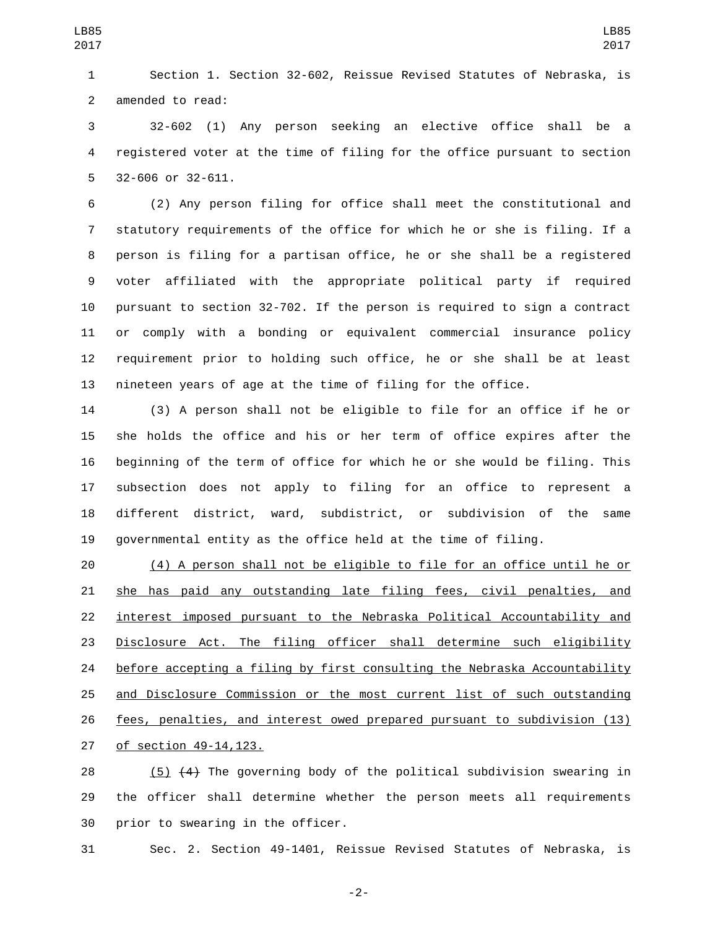Section 1. Section 32-602, Reissue Revised Statutes of Nebraska, is 2 amended to read:

 32-602 (1) Any person seeking an elective office shall be a registered voter at the time of filing for the office pursuant to section 5 32-606 or 32-611.

 (2) Any person filing for office shall meet the constitutional and statutory requirements of the office for which he or she is filing. If a person is filing for a partisan office, he or she shall be a registered voter affiliated with the appropriate political party if required pursuant to section 32-702. If the person is required to sign a contract or comply with a bonding or equivalent commercial insurance policy requirement prior to holding such office, he or she shall be at least nineteen years of age at the time of filing for the office.

 (3) A person shall not be eligible to file for an office if he or she holds the office and his or her term of office expires after the beginning of the term of office for which he or she would be filing. This subsection does not apply to filing for an office to represent a different district, ward, subdistrict, or subdivision of the same governmental entity as the office held at the time of filing.

 (4) A person shall not be eligible to file for an office until he or she has paid any outstanding late filing fees, civil penalties, and interest imposed pursuant to the Nebraska Political Accountability and Disclosure Act. The filing officer shall determine such eligibility before accepting a filing by first consulting the Nebraska Accountability and Disclosure Commission or the most current list of such outstanding fees, penalties, and interest owed prepared pursuant to subdivision (13) 27 of section 49-14,123.

 (5) (4) The governing body of the political subdivision swearing in the officer shall determine whether the person meets all requirements 30 prior to swearing in the officer.

Sec. 2. Section 49-1401, Reissue Revised Statutes of Nebraska, is

-2-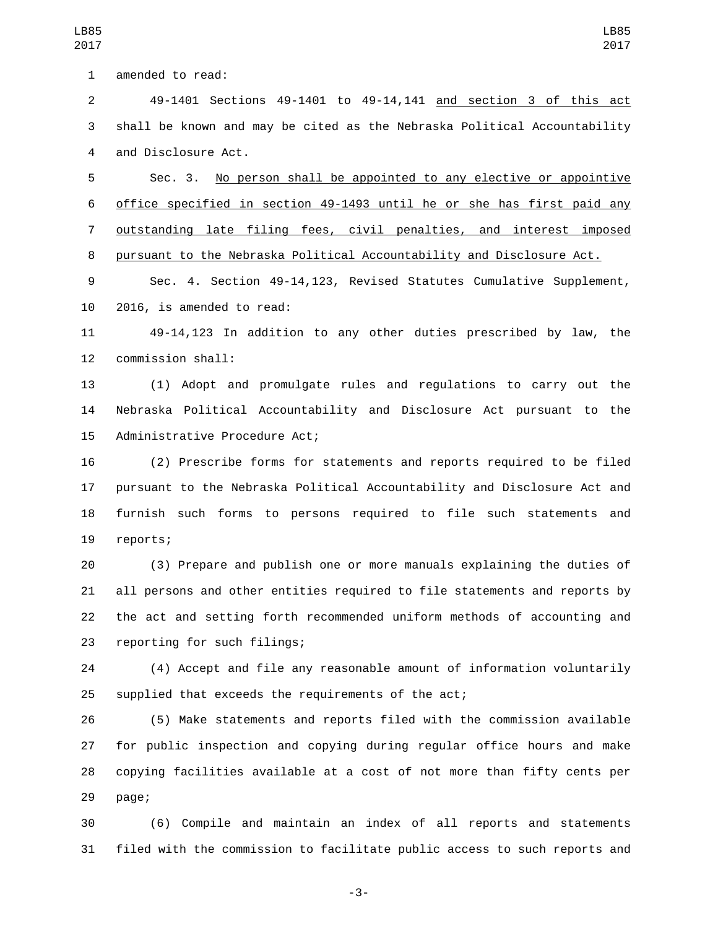LB85 

1 amended to read:

 49-1401 Sections 49-1401 to 49-14,141 and section 3 of this act shall be known and may be cited as the Nebraska Political Accountability 4 and Disclosure Act.

5 Sec. 3. No person shall be appointed to any elective or appointive office specified in section 49-1493 until he or she has first paid any outstanding late filing fees, civil penalties, and interest imposed pursuant to the Nebraska Political Accountability and Disclosure Act.

 Sec. 4. Section 49-14,123, Revised Statutes Cumulative Supplement, 10 2016, is amended to read:

 49-14,123 In addition to any other duties prescribed by law, the 12 commission shall:

 (1) Adopt and promulgate rules and regulations to carry out the Nebraska Political Accountability and Disclosure Act pursuant to the 15 Administrative Procedure Act;

 (2) Prescribe forms for statements and reports required to be filed pursuant to the Nebraska Political Accountability and Disclosure Act and furnish such forms to persons required to file such statements and 19 reports;

 (3) Prepare and publish one or more manuals explaining the duties of all persons and other entities required to file statements and reports by the act and setting forth recommended uniform methods of accounting and 23 reporting for such filings;

 (4) Accept and file any reasonable amount of information voluntarily supplied that exceeds the requirements of the act;

 (5) Make statements and reports filed with the commission available for public inspection and copying during regular office hours and make copying facilities available at a cost of not more than fifty cents per 29 page;

 (6) Compile and maintain an index of all reports and statements filed with the commission to facilitate public access to such reports and

-3-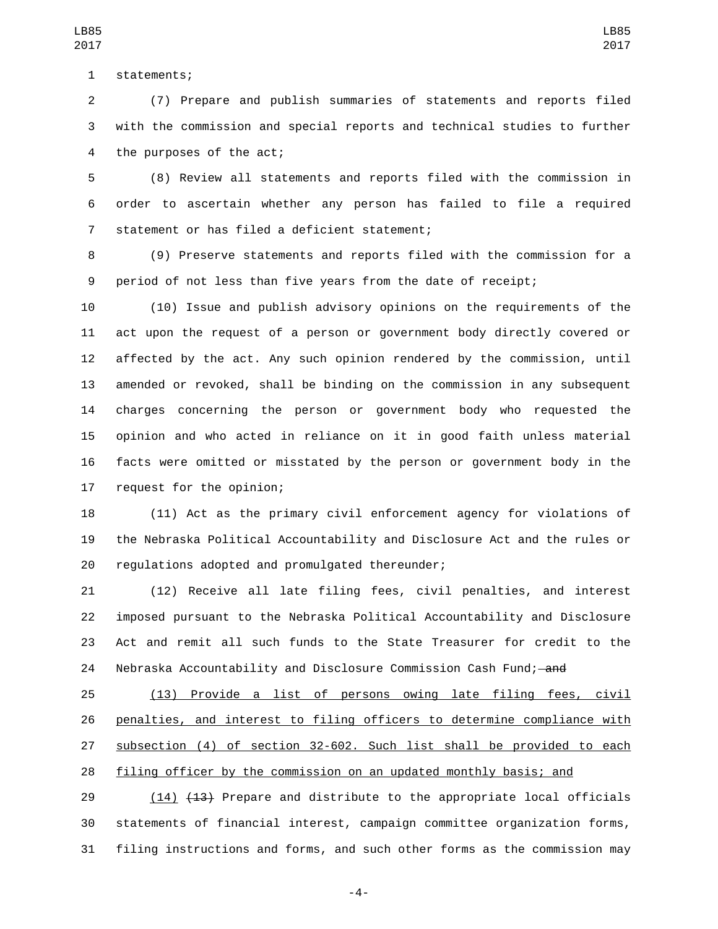statements;1

 (7) Prepare and publish summaries of statements and reports filed with the commission and special reports and technical studies to further 4 the purposes of the act;

 (8) Review all statements and reports filed with the commission in order to ascertain whether any person has failed to file a required 7 statement or has filed a deficient statement;

 (9) Preserve statements and reports filed with the commission for a period of not less than five years from the date of receipt;

 (10) Issue and publish advisory opinions on the requirements of the act upon the request of a person or government body directly covered or affected by the act. Any such opinion rendered by the commission, until amended or revoked, shall be binding on the commission in any subsequent charges concerning the person or government body who requested the opinion and who acted in reliance on it in good faith unless material facts were omitted or misstated by the person or government body in the 17 request for the opinion;

 (11) Act as the primary civil enforcement agency for violations of the Nebraska Political Accountability and Disclosure Act and the rules or 20 regulations adopted and promulgated thereunder;

 (12) Receive all late filing fees, civil penalties, and interest imposed pursuant to the Nebraska Political Accountability and Disclosure Act and remit all such funds to the State Treasurer for credit to the 24 Nebraska Accountability and Disclosure Commission Cash Fund; and

 (13) Provide a list of persons owing late filing fees, civil penalties, and interest to filing officers to determine compliance with subsection (4) of section 32-602. Such list shall be provided to each filing officer by the commission on an updated monthly basis; and

29 (14) (13) Prepare and distribute to the appropriate local officials statements of financial interest, campaign committee organization forms, filing instructions and forms, and such other forms as the commission may

-4-